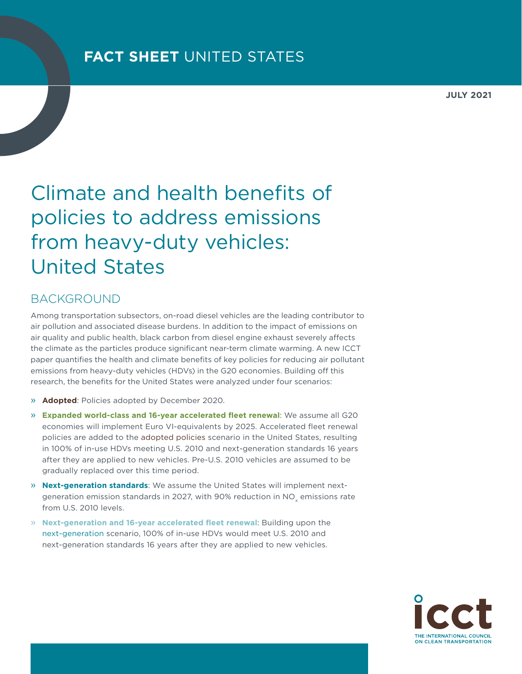**JULY 2021**

## Climate and health benefits of policies to address emissions from heavy-duty vehicles: United States

## BACKGROUND

Among transportation subsectors, on-road diesel vehicles are the leading contributor to air pollution and associated disease burdens. In addition to the impact of emissions on air quality and public health, black carbon from diesel engine exhaust severely affects the climate as the particles produce significant near-term climate warming. A new ICCT paper quantifies the health and climate benefits of key policies for reducing air pollutant emissions from heavy-duty vehicles (HDVs) in the G20 economies. Building off this research, the benefits for the United States were analyzed under four scenarios:

- » **Adopted**: Policies adopted by December 2020.
- » **Expanded world-class and 16-year accelerated fleet renewal**: We assume all G20 economies will implement Euro VI-equivalents by 2025. Accelerated fleet renewal policies are added to the adopted policies scenario in the United States, resulting in 100% of in-use HDVs meeting U.S. 2010 and next-generation standards 16 years after they are applied to new vehicles. Pre-U.S. 2010 vehicles are assumed to be gradually replaced over this time period.
- » **Next-generation standards**: We assume the United States will implement nextgeneration emission standards in 2027, with 90% reduction in NO<sub>v</sub> emissions rate from U.S. 2010 levels.
- » **Next-generation and 16-year accelerated fleet renewal**: Building upon the next-generation scenario, 100% of in-use HDVs would meet U.S. 2010 and next-generation standards 16 years after they are applied to new vehicles.

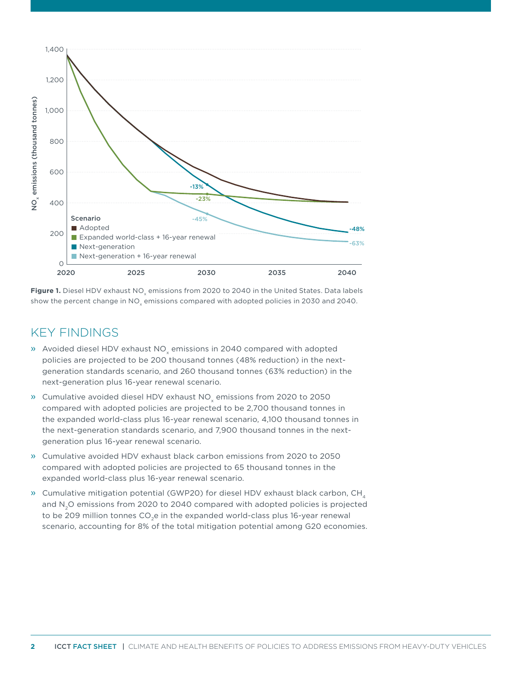

Figure 1. Diesel HDV exhaust NO<sub>v</sub> emissions from 2020 to 2040 in the United States. Data labels show the percent change in NO<sub>v</sub> emissions compared with adopted policies in 2030 and 2040.

## KEY FINDINGS

- » Avoided diesel HDV exhaust NO<sub>v</sub> emissions in 2040 compared with adopted policies are projected to be 200 thousand tonnes (48% reduction) in the nextgeneration standards scenario, and 260 thousand tonnes (63% reduction) in the next-generation plus 16-year renewal scenario.
- » Cumulative avoided diesel HDV exhaust NO<sub>v</sub> emissions from 2020 to 2050 compared with adopted policies are projected to be 2,700 thousand tonnes in the expanded world-class plus 16-year renewal scenario, 4,100 thousand tonnes in the next-generation standards scenario, and 7,900 thousand tonnes in the nextgeneration plus 16-year renewal scenario.
- » Cumulative avoided HDV exhaust black carbon emissions from 2020 to 2050 compared with adopted policies are projected to 65 thousand tonnes in the expanded world-class plus 16-year renewal scenario.
- » Cumulative mitigation potential (GWP20) for diesel HDV exhaust black carbon, CH, and N<sub>2</sub>O emissions from 2020 to 2040 compared with adopted policies is projected to be 209 million tonnes CO<sub>2</sub>e in the expanded world-class plus 16-year renewal scenario, accounting for 8% of the total mitigation potential among G20 economies.